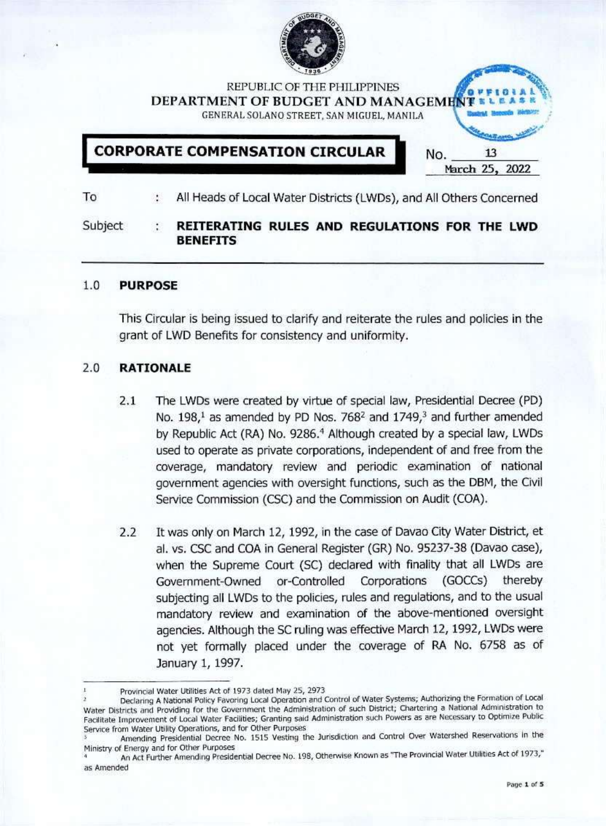

REPUBLIC OF THF PHILIPPINES **DEPARTMENT** OF **BUDGET AND MANAGEM** GENKRAI, SOLANO STREET, SAN MIGUEL, MANILA

**[ CORPORATE COMPENSATION CIRCULAR No.** 13

March 25, 2022

To ÷. All Heads of Local Water Districts (LWDs), and All Others Concerned

#### Subject **REITERATING RULES AND REGULATIONS FOR THE LWD BENEFITS**

#### **1.0 PURPOSE**

This Circular is being issued to clarify and reiterate the rules and policies in the grant of LWD Benefits for consistency and uniformity.

## 2.0 **RATIONALE**

- 2.1 The LWDs were created by virtue of special law, Presidential Decree (PD) No.  $198<sup>1</sup>$  as amended by PD Nos. 768<sup>2</sup> and  $1749<sup>3</sup>$  and further amended by Republic Act (RA) No. 9286.<sup>4</sup> Although created by a special law, LWDs used to operate as private corporations. Independent of and free from the coverage, mandatory review and periodic examination of national government agencies with oversight functions, such as the DBM, the Civil Service Commission (CSC) and the Commission on Audit (COA).
- 2.2 It was only on March 12, 1992, in the case of Davao City Water District, et al. vs. CSC and COA In General Register (GR) No. 95237-38 (Davao case), when the Supreme Court (SC) declared with finality that all LWDs are Government-Owned or-Controlled Corporations (GOCCs) thereby subjecting all LWDs to the policies, rules and regulations, and to the usual mandatory review and examination of the above-mentioned oversight agencies. Although the SC ruling was effective March 12,1992, LWDs were not yet formally placed under the coverage of RA No. 6758 as of January 1, 1997.

Provincial Water Utilities Act of 1973 dated May 25, 2973

Declaring A National Policy Favoring Local Operation and Control of Water Systems; Authorizing the Formation of Local Water Districts and Providing for the Government the Administration of such District; Chartering a National Administration to Facilitate Improvement of Local Water Facilities; Granting said Administration such Powers as are Necessary to Optimize Public Service from Water Utility Operations, and for Other Purposes not yet formally placed under the coverage of RA No. 6758 as of<br>
January 1, 1997.<br>
Provincial Water Utilities Act of 1973 dated May 25, 2973<br>
Peclaring A National Policy Fevoring Local Operation and Control of Water System

<sup>&</sup>lt;sup>3</sup> Amending Presidential Decree No. 1515 Vesting the Jurisdiction and Control Over Watershed Reservations in the<br>Ministry of Energy and for Other Purposes

An Act Further Amending Presidential Decree No. 198, Otherwise Known as "The Provincial Water Utilities Act of 1973," as Amended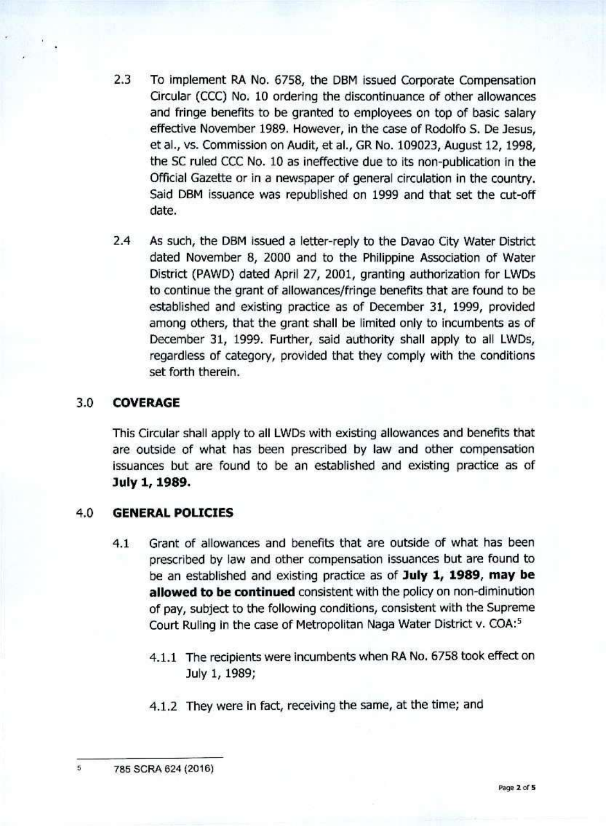- 2.3 To implement RA No. 6758, the DBM issued Corporate Compensation Circular (CCC) No. 10 ordering the discontinuance *of* other allowances and fringe benefits to be granted to employees on top of basic salary effective November 1989. However, In the case of Rodolfo S. De Jesus, et ai., vs. Commission on Audit, et aL, GR No. 109023, August 12,1998, the SC ruled CCC No. 10 as ineffective due to its non-publication in the Official Gazette or in a newspaper of general circulation in the country. Said DBM issuance was republished on 1999 and that set the cut-off date.
- 2.4 As such, the DBM issued a letter-reply to the Davao City Water District dated November 8, 2000 and to the Philippine Association of Water District (PAWD) dated April 27, 2001, granting authorization for LWDs to continue the grant of allowances/fringe benefits that are found to be established and existing practice as of December 31, 1999, provided among others, that the grant shall be limited only to incumbents as of December 31, 1999. Further, said authority shall apply to all LWDs, regardless of category, provided that they comply with the conditions set forth therein.

# 3.0 **COVERAGE**

This Circular shall apply to all LWDs with existing allowances and benefits that are outside of what has been prescribed by law and other compensation issuances but are found to be an established and existing practice as of **July 1,1989.**

## 4.0 **GENERAL POUCIES**

- 4.1 Grant of allowances and benefits that are outside of what has been prescribed by law and other compensation issuances but are found to be an established and existing practice as of **July 1/ 1989, may be allowed to be continued** consistent with the policy on non-diminution of pay, subject to the following conditions, consistent with the Supreme Court Ruling in the case of Metropolitan Naga Water District v. COA:<sup>5</sup>
	- 4.1.1 The recipients were Incumbents when RA No. 6758 took effect on July 1,1989;
	- 4.1.2 They were in fact, receiving the same, at the time; and

5 7BS SCRA 624(2016)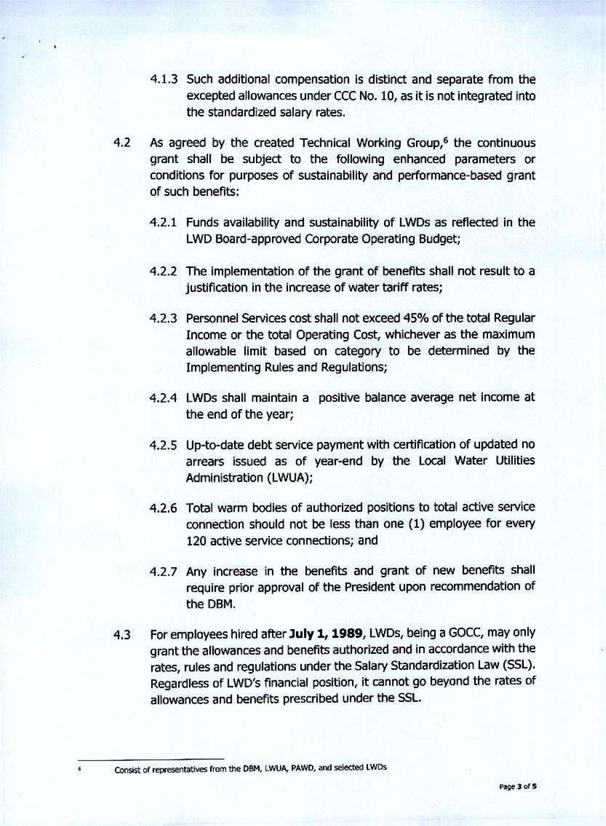- 4.1.3 Such additional compensation is distinct and separate from the excepted allowances under CCC No. 10, as it is not integrated into the standardized salary rates.
- 4.2 As agreed by the created Technical Working Group,<sup>6</sup> the continuous grant shall be subject to the following enhanced parameters or conditions for purposes of sustainability and performance-based grant of such benefits:
	- 4.2.1 Funds availability and sustainability of LWDs as reflected in the LWD Board-approved Corporate Operating Budget;
	- 4.2.2 The Implementation of the grant of benefits shall not result to a justification in the increase of water tariff rates;
	- 4.2.3 Personnel Services cost shall not exceed 45% of the total Regular Income or the total Operating Cost, whichever as the maximum allowable limit based on category to be determined by the Implementing Rules and Regulations;
	- 4.2.4 LWDs shall maintain a positive balance average net Income at the end of the year;
	- 4.2.5 Up-to-date debt service payment with certification of updated no arrears Issued as of year-end by the Local Water Utilities Administration (LWUA);
	- 4.2.6 Total warm bodies of authorized positions to total active service connection should not be less than one (1) employee for every 120 active service connections; and
	- 4.2.7 Any Increase in the benefits and grant of new benefits shall require prior approval of the President upon recommendation of the DBM.
- 4.3 For employees hired after July 1, 1989, LWDs, being a GOCC, may only grant the allowances and benefits authorized and In accordance with the rates, rules and regulations under the Salary Standardization Law (SSL). Regardless of LWD's financial position, It cannot go beyond the rates of allowances and benefits prescribed under the SSL.

Consist of representatives from the DBM, LWUA, PAWD, and selected LWDs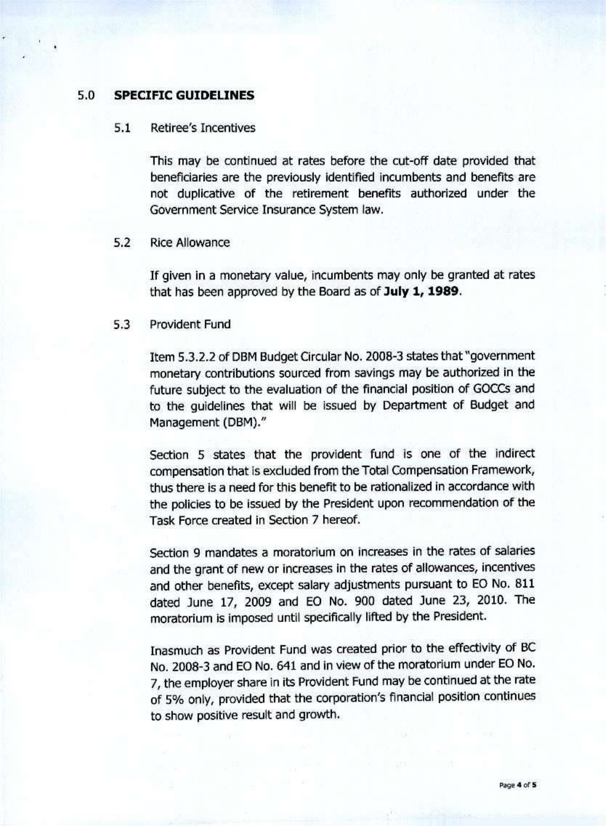# **5.0 SPECIFIC GUIDELINES**

# 5.1 Retiree's Incentives

This may be continued at rates before the cut-off date provided that beneficiaries are the previously identified incumbents and benefits are not duplicative of the retirement benefits authorized under the Government Service Insurance System law.

#### 5.2 Rice Allowance

If given in a monetary value, incumbents may only be granted at rates that has been approved by the Board as of **July 1/1989.**

#### 5.3 Provident Fund

Item 5.3.2.2 of DBM Budget Circular No. 2008-3 states that"government monetary contributions sourced from savings may be authorized in the future subject to the evaluation of the financial position of GOCCs and to the guidelines that will be Issued by Department of Budget and Management (DBM)."

Section 5 states that the provident fund is one of the indirect compensation that is excluded from the Total Compensation Framework, thus there is a need for this benefit to be rationalized in accordance with the policies to be Issued by the President upon recommendation of the Task Force created in Section 7 hereof.

Section 9 mandates a moratorium on increases in the rates of salaries and the grant of new or increases in the rates of allowances, incentives and other benefits, except salary adjustments pursuant to EO No. 811 dated June 17, 2009 and EO No. 900 dated June 23, 2010. The moratorium is imposed until specifically lifted by the President.

Inasmuch as Provident Fund was created prior to the effectivity of BC No. 2008-3 and EO No. 641 and in view of the moratorium under EO No. 7, the employer share in its Provident Fund may be continued at the rate of 5% only, provided that the corporation's financial position continues to show positive result and growth.